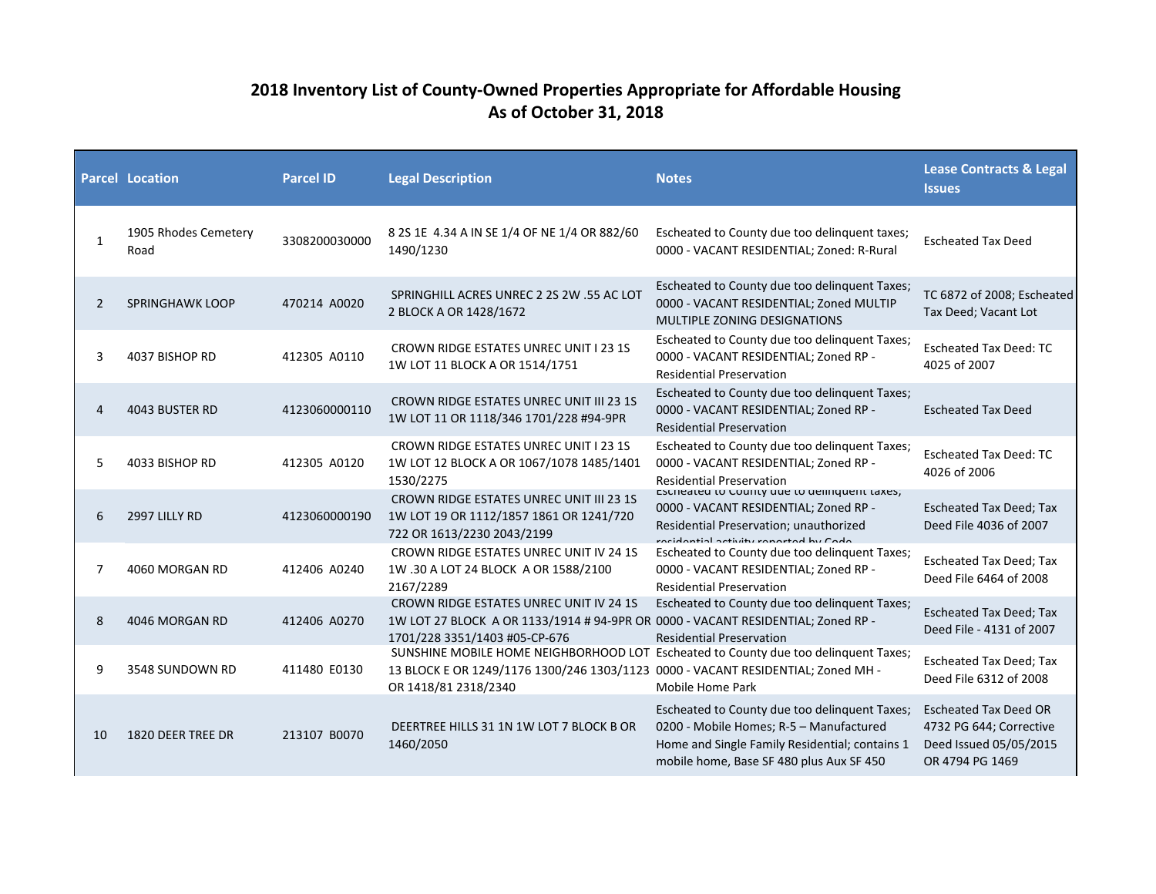## **2018 Inventory List of County-Owned Properties Appropriate for Affordable Housing As of October 31, 2018**

|    | <b>Parcel Location</b>       | <b>Parcel ID</b> | <b>Legal Description</b>                                                                                                                                                                        | <b>Notes</b>                                                                                                                                                                           | <b>Lease Contracts &amp; Legal</b><br><b>Issues</b>                                                  |
|----|------------------------------|------------------|-------------------------------------------------------------------------------------------------------------------------------------------------------------------------------------------------|----------------------------------------------------------------------------------------------------------------------------------------------------------------------------------------|------------------------------------------------------------------------------------------------------|
| 1  | 1905 Rhodes Cemetery<br>Road | 3308200030000    | 8 2S 1E 4.34 A IN SE 1/4 OF NE 1/4 OR 882/60<br>1490/1230                                                                                                                                       | Escheated to County due too delinguent taxes;<br>0000 - VACANT RESIDENTIAL; Zoned: R-Rural                                                                                             | <b>Escheated Tax Deed</b>                                                                            |
| 2  | <b>SPRINGHAWK LOOP</b>       | 470214 A0020     | SPRINGHILL ACRES UNREC 2 2S 2W .55 AC LOT<br>2 BLOCK A OR 1428/1672                                                                                                                             | Escheated to County due too delinquent Taxes;<br>0000 - VACANT RESIDENTIAL; Zoned MULTIP<br>MULTIPLE ZONING DESIGNATIONS                                                               | TC 6872 of 2008; Escheated<br>Tax Deed; Vacant Lot                                                   |
| 3  | 4037 BISHOP RD               | 412305 A0110     | <b>CROWN RIDGE ESTATES UNREC UNIT I 23 1S</b><br>1W LOT 11 BLOCK A OR 1514/1751                                                                                                                 | Escheated to County due too delinguent Taxes;<br>0000 - VACANT RESIDENTIAL; Zoned RP -<br><b>Residential Preservation</b>                                                              | <b>Escheated Tax Deed: TC</b><br>4025 of 2007                                                        |
| 4  | 4043 BUSTER RD               | 4123060000110    | <b>CROWN RIDGE ESTATES UNREC UNIT III 23 1S</b><br>1W LOT 11 OR 1118/346 1701/228 #94-9PR                                                                                                       | Escheated to County due too delinquent Taxes;<br>0000 - VACANT RESIDENTIAL; Zoned RP -<br><b>Residential Preservation</b>                                                              | <b>Escheated Tax Deed</b>                                                                            |
| 5  | 4033 BISHOP RD               | 412305 A0120     | <b>CROWN RIDGE ESTATES UNREC UNIT I 23 1S</b><br>1W LOT 12 BLOCK A OR 1067/1078 1485/1401<br>1530/2275                                                                                          | Escheated to County due too delinquent Taxes;<br>0000 - VACANT RESIDENTIAL; Zoned RP -<br><b>Residential Preservation</b>                                                              | <b>Escheated Tax Deed: TC</b><br>4026 of 2006                                                        |
| 6  | 2997 LILLY RD                | 4123060000190    | <b>CROWN RIDGE ESTATES UNREC UNIT III 23 1S</b><br>1W LOT 19 OR 1112/1857 1861 OR 1241/720<br>722 OR 1613/2230 2043/2199                                                                        | ESCHEALED TO COUTILY QUE TO DEITIQUETTE LAXES;<br>0000 - VACANT RESIDENTIAL; Zoned RP -<br>Residential Preservation; unauthorized<br>rocidontial activity ronortod by Codo             | <b>Escheated Tax Deed; Tax</b><br>Deed File 4036 of 2007                                             |
| 7  | 4060 MORGAN RD               | 412406 A0240     | <b>CROWN RIDGE ESTATES UNREC UNIT IV 24 1S</b><br>1W .30 A LOT 24 BLOCK A OR 1588/2100<br>2167/2289                                                                                             | Escheated to County due too delinguent Taxes;<br>0000 - VACANT RESIDENTIAL; Zoned RP -<br><b>Residential Preservation</b>                                                              | <b>Escheated Tax Deed; Tax</b><br>Deed File 6464 of 2008                                             |
| 8  | 4046 MORGAN RD               | 412406 A0270     | CROWN RIDGE ESTATES UNREC UNIT IV 24 1S<br>1W LOT 27 BLOCK A OR 1133/1914 # 94-9PR OR 0000 - VACANT RESIDENTIAL; Zoned RP -<br>1701/228 3351/1403 #05-CP-676                                    | Escheated to County due too delinquent Taxes;<br><b>Residential Preservation</b>                                                                                                       | <b>Escheated Tax Deed; Tax</b><br>Deed File - 4131 of 2007                                           |
| 9  | 3548 SUNDOWN RD              | 411480 E0130     | SUNSHINE MOBILE HOME NEIGHBORHOOD LOT Escheated to County due too delinquent Taxes;<br>13 BLOCK E OR 1249/1176 1300/246 1303/1123 0000 - VACANT RESIDENTIAL; Zoned MH -<br>OR 1418/81 2318/2340 | Mobile Home Park                                                                                                                                                                       | <b>Escheated Tax Deed; Tax</b><br>Deed File 6312 of 2008                                             |
| 10 | 1820 DEER TREE DR            | 213107 B0070     | DEERTREE HILLS 31 1N 1W LOT 7 BLOCK B OR<br>1460/2050                                                                                                                                           | Escheated to County due too delinquent Taxes;<br>0200 - Mobile Homes; R-5 - Manufactured<br>Home and Single Family Residential; contains 1<br>mobile home, Base SF 480 plus Aux SF 450 | <b>Escheated Tax Deed OR</b><br>4732 PG 644; Corrective<br>Deed Issued 05/05/2015<br>OR 4794 PG 1469 |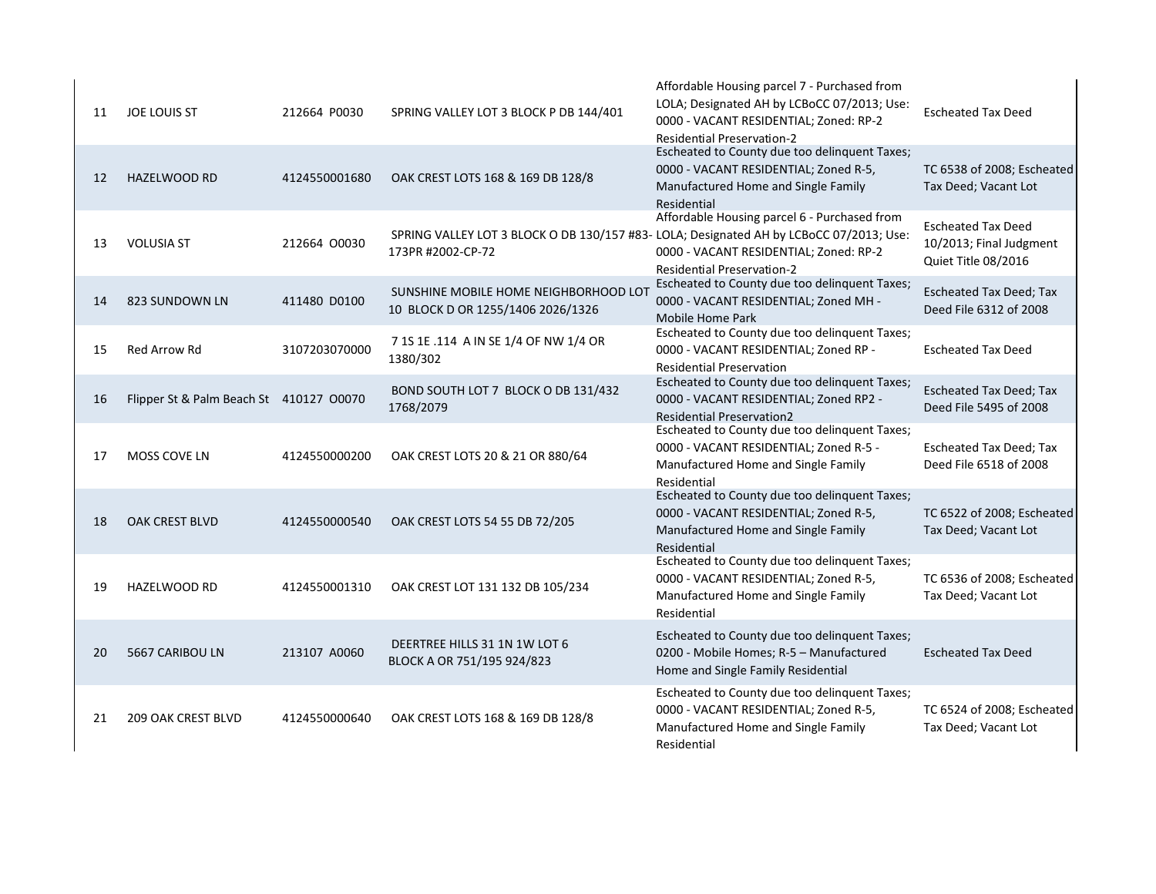| 11 | JOE LOUIS ST                            | 212664 P0030  | SPRING VALLEY LOT 3 BLOCK P DB 144/401                                                                       | Affordable Housing parcel 7 - Purchased from<br>LOLA; Designated AH by LCBoCC 07/2013; Use:<br>0000 - VACANT RESIDENTIAL; Zoned: RP-2<br><b>Residential Preservation-2</b> | <b>Escheated Tax Deed</b>                                                   |
|----|-----------------------------------------|---------------|--------------------------------------------------------------------------------------------------------------|----------------------------------------------------------------------------------------------------------------------------------------------------------------------------|-----------------------------------------------------------------------------|
| 12 | <b>HAZELWOOD RD</b>                     | 4124550001680 | OAK CREST LOTS 168 & 169 DB 128/8                                                                            | Escheated to County due too delinquent Taxes;<br>0000 - VACANT RESIDENTIAL; Zoned R-5,<br>Manufactured Home and Single Family<br>Residential                               | TC 6538 of 2008; Escheated<br>Tax Deed; Vacant Lot                          |
| 13 | <b>VOLUSIA ST</b>                       | 212664 00030  | SPRING VALLEY LOT 3 BLOCK O DB 130/157 #83- LOLA; Designated AH by LCBoCC 07/2013; Use:<br>173PR #2002-CP-72 | Affordable Housing parcel 6 - Purchased from<br>0000 - VACANT RESIDENTIAL; Zoned: RP-2<br><b>Residential Preservation-2</b>                                                | <b>Escheated Tax Deed</b><br>10/2013; Final Judgment<br>Quiet Title 08/2016 |
| 14 | 823 SUNDOWN LN                          | 411480 D0100  | SUNSHINE MOBILE HOME NEIGHBORHOOD LOT<br>10 BLOCK D OR 1255/1406 2026/1326                                   | Escheated to County due too delinquent Taxes;<br>0000 - VACANT RESIDENTIAL; Zoned MH -<br>Mobile Home Park                                                                 | <b>Escheated Tax Deed; Tax</b><br>Deed File 6312 of 2008                    |
| 15 | Red Arrow Rd                            | 3107203070000 | 7 1S 1E .114 A IN SE 1/4 OF NW 1/4 OR<br>1380/302                                                            | Escheated to County due too delinquent Taxes;<br>0000 - VACANT RESIDENTIAL; Zoned RP -<br><b>Residential Preservation</b>                                                  | <b>Escheated Tax Deed</b>                                                   |
| 16 | Flipper St & Palm Beach St 410127 00070 |               | BOND SOUTH LOT 7 BLOCK O DB 131/432<br>1768/2079                                                             | Escheated to County due too delinquent Taxes;<br>0000 - VACANT RESIDENTIAL; Zoned RP2 -<br><b>Residential Preservation2</b>                                                | <b>Escheated Tax Deed; Tax</b><br>Deed File 5495 of 2008                    |
| 17 | <b>MOSS COVE LN</b>                     | 4124550000200 | OAK CREST LOTS 20 & 21 OR 880/64                                                                             | Escheated to County due too delinquent Taxes;<br>0000 - VACANT RESIDENTIAL; Zoned R-5 -<br>Manufactured Home and Single Family<br>Residential                              | Escheated Tax Deed; Tax<br>Deed File 6518 of 2008                           |
| 18 | <b>OAK CREST BLVD</b>                   | 4124550000540 | OAK CREST LOTS 54 55 DB 72/205                                                                               | Escheated to County due too delinquent Taxes;<br>0000 - VACANT RESIDENTIAL; Zoned R-5,<br>Manufactured Home and Single Family<br>Residential                               | TC 6522 of 2008; Escheated<br>Tax Deed; Vacant Lot                          |
| 19 | <b>HAZELWOOD RD</b>                     | 4124550001310 | OAK CREST LOT 131 132 DB 105/234                                                                             | Escheated to County due too delinquent Taxes;<br>0000 - VACANT RESIDENTIAL; Zoned R-5,<br>Manufactured Home and Single Family<br>Residential                               | TC 6536 of 2008; Escheated<br>Tax Deed; Vacant Lot                          |
| 20 | 5667 CARIBOU LN                         | 213107 A0060  | DEERTREE HILLS 31 1N 1W LOT 6<br>BLOCK A OR 751/195 924/823                                                  | Escheated to County due too delinquent Taxes;<br>0200 - Mobile Homes; R-5 - Manufactured<br>Home and Single Family Residential                                             | <b>Escheated Tax Deed</b>                                                   |
| 21 | <b>209 OAK CREST BLVD</b>               | 4124550000640 | OAK CREST LOTS 168 & 169 DB 128/8                                                                            | Escheated to County due too delinguent Taxes;<br>0000 - VACANT RESIDENTIAL; Zoned R-5,<br>Manufactured Home and Single Family<br>Residential                               | TC 6524 of 2008; Escheated<br>Tax Deed; Vacant Lot                          |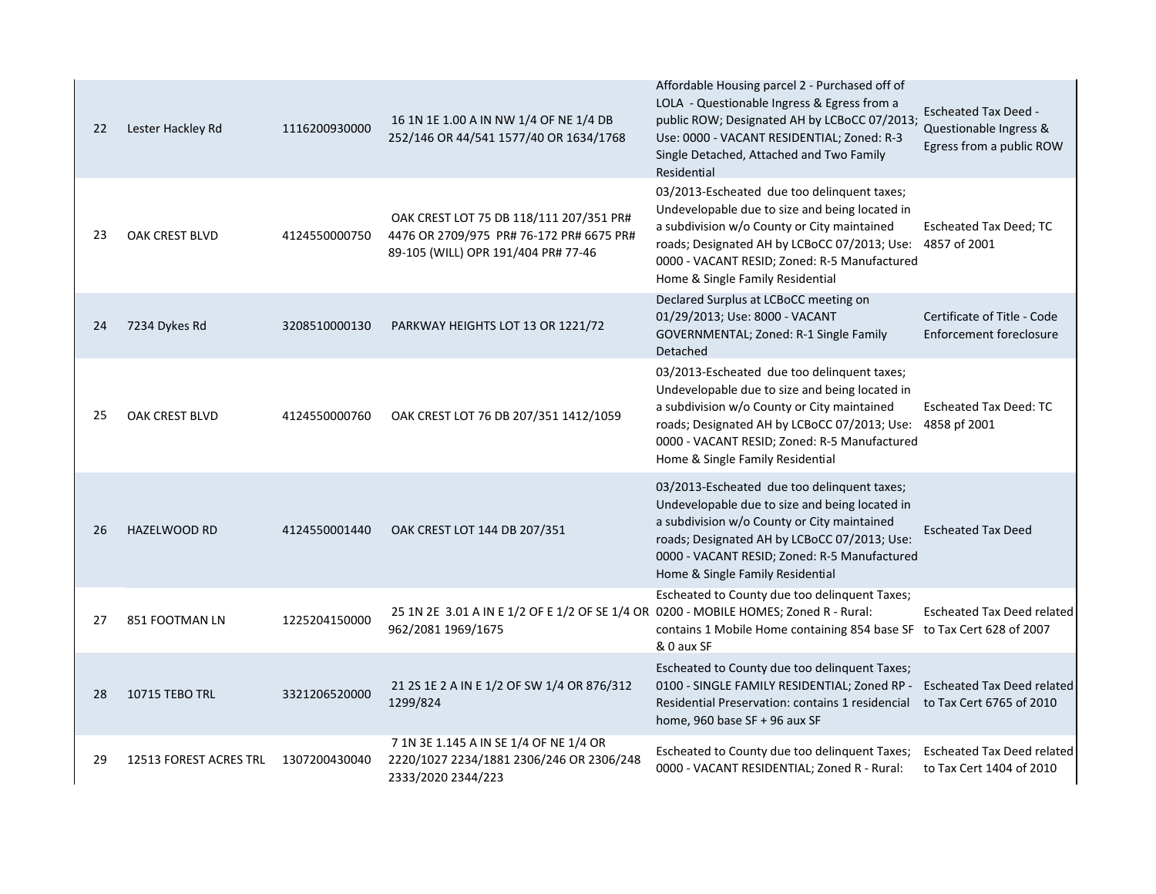| 22 | Lester Hackley Rd      | 1116200930000 | 16 1N 1E 1.00 A IN NW 1/4 OF NE 1/4 DB<br>252/146 OR 44/541 1577/40 OR 1634/1768                                           | Affordable Housing parcel 2 - Purchased off of<br>LOLA - Questionable Ingress & Egress from a<br>public ROW; Designated AH by LCBoCC 07/2013;<br>Use: 0000 - VACANT RESIDENTIAL; Zoned: R-3<br>Single Detached, Attached and Two Family<br>Residential                                        | <b>Escheated Tax Deed -</b><br>Questionable Ingress &<br>Egress from a public ROW |
|----|------------------------|---------------|----------------------------------------------------------------------------------------------------------------------------|-----------------------------------------------------------------------------------------------------------------------------------------------------------------------------------------------------------------------------------------------------------------------------------------------|-----------------------------------------------------------------------------------|
| 23 | OAK CREST BLVD         | 4124550000750 | OAK CREST LOT 75 DB 118/111 207/351 PR#<br>4476 OR 2709/975 PR# 76-172 PR# 6675 PR#<br>89-105 (WILL) OPR 191/404 PR# 77-46 | 03/2013-Escheated due too delinquent taxes;<br>Undevelopable due to size and being located in<br>a subdivision w/o County or City maintained<br>roads; Designated AH by LCBoCC 07/2013; Use: 4857 of 2001<br>0000 - VACANT RESID; Zoned: R-5 Manufactured<br>Home & Single Family Residential | Escheated Tax Deed; TC                                                            |
| 24 | 7234 Dykes Rd          | 3208510000130 | PARKWAY HEIGHTS LOT 13 OR 1221/72                                                                                          | Declared Surplus at LCBoCC meeting on<br>01/29/2013; Use: 8000 - VACANT<br>GOVERNMENTAL; Zoned: R-1 Single Family<br>Detached                                                                                                                                                                 | Certificate of Title - Code<br><b>Enforcement foreclosure</b>                     |
| 25 | OAK CREST BLVD         | 4124550000760 | OAK CREST LOT 76 DB 207/351 1412/1059                                                                                      | 03/2013-Escheated due too delinquent taxes;<br>Undevelopable due to size and being located in<br>a subdivision w/o County or City maintained<br>roads; Designated AH by LCBoCC 07/2013; Use: 4858 pf 2001<br>0000 - VACANT RESID; Zoned: R-5 Manufactured<br>Home & Single Family Residential | <b>Escheated Tax Deed: TC</b>                                                     |
| 26 | <b>HAZELWOOD RD</b>    | 4124550001440 | OAK CREST LOT 144 DB 207/351                                                                                               | 03/2013-Escheated due too delinquent taxes;<br>Undevelopable due to size and being located in<br>a subdivision w/o County or City maintained<br>roads; Designated AH by LCBoCC 07/2013; Use:<br>0000 - VACANT RESID; Zoned: R-5 Manufactured<br>Home & Single Family Residential              | <b>Escheated Tax Deed</b>                                                         |
| 27 | 851 FOOTMAN LN         | 1225204150000 | 25 1N 2E 3.01 A IN E 1/2 OF E 1/2 OF SE 1/4 OR 0200 - MOBILE HOMES; Zoned R - Rural:<br>962/2081 1969/1675                 | Escheated to County due too delinquent Taxes;<br>contains 1 Mobile Home containing 854 base SF to Tax Cert 628 of 2007<br>& 0 aux SF                                                                                                                                                          | <b>Escheated Tax Deed related</b>                                                 |
| 28 | <b>10715 TEBO TRL</b>  | 3321206520000 | 21 2S 1E 2 A IN E 1/2 OF SW 1/4 OR 876/312<br>1299/824                                                                     | Escheated to County due too delinquent Taxes;<br>0100 - SINGLE FAMILY RESIDENTIAL; Zoned RP -<br>Residential Preservation: contains 1 residencial<br>home, 960 base $SF + 96$ aux $SF$                                                                                                        | <b>Escheated Tax Deed related</b><br>to Tax Cert 6765 of 2010                     |
| 29 | 12513 FOREST ACRES TRL | 1307200430040 | 7 1N 3E 1.145 A IN SE 1/4 OF NE 1/4 OR<br>2220/1027 2234/1881 2306/246 OR 2306/248<br>2333/2020 2344/223                   | Escheated to County due too delinquent Taxes;<br>0000 - VACANT RESIDENTIAL; Zoned R - Rural:                                                                                                                                                                                                  | <b>Escheated Tax Deed related</b><br>to Tax Cert 1404 of 2010                     |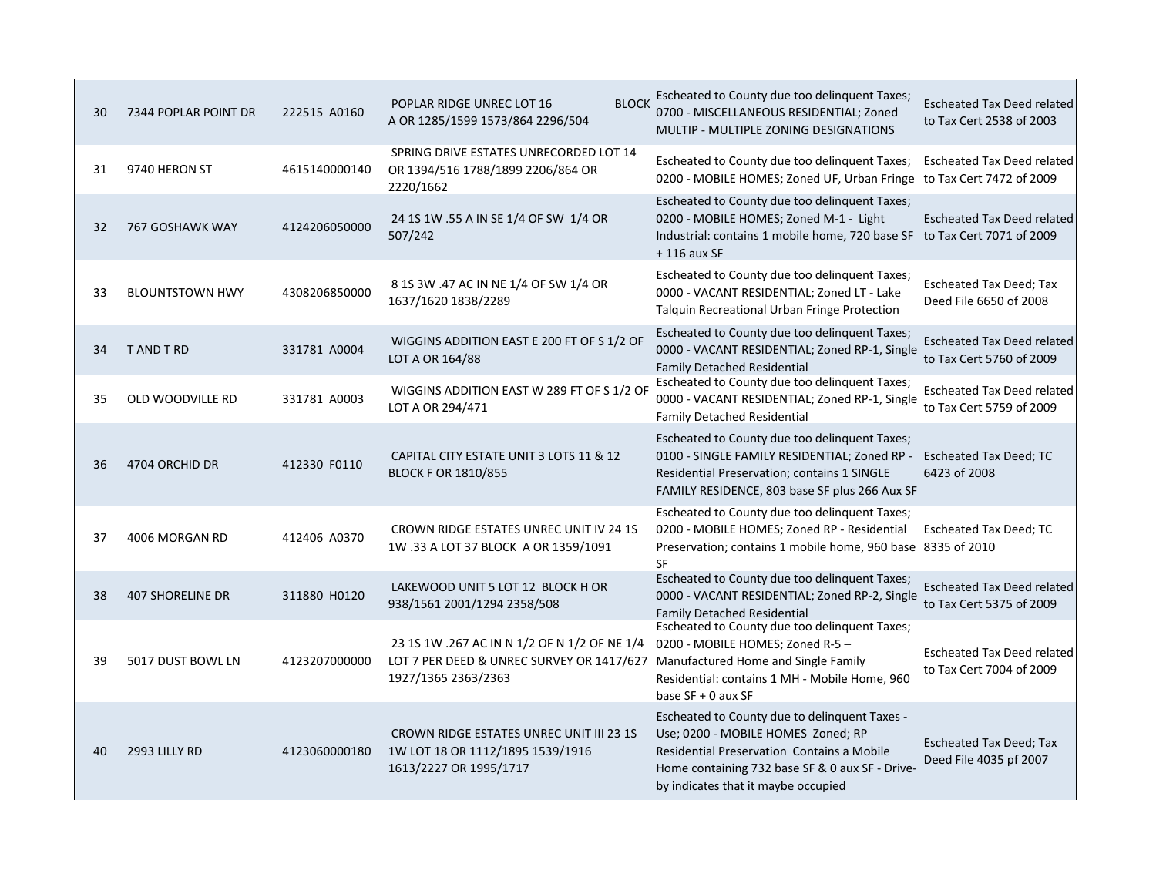| Escheated to County due too delinquent Taxes;<br><b>BLOCK</b><br>POPLAR RIDGE UNREC LOT 16<br>0700 - MISCELLANEOUS RESIDENTIAL; Zoned<br>222515 A0160<br>30<br>7344 POPLAR POINT DR<br>A OR 1285/1599 1573/864 2296/504<br>MULTIP - MULTIPLE ZONING DESIGNATIONS<br>SPRING DRIVE ESTATES UNRECORDED LOT 14<br>Escheated to County due too delinquent Taxes;<br>9740 HERON ST<br>4615140000140<br>OR 1394/516 1788/1899 2206/864 OR<br>31<br>0200 - MOBILE HOMES; Zoned UF, Urban Fringe to Tax Cert 7472 of 2009<br>2220/1662<br>Escheated to County due too delinguent Taxes;<br>24 1S 1W .55 A IN SE 1/4 OF SW 1/4 OR<br>0200 - MOBILE HOMES; Zoned M-1 - Light<br>4124206050000<br>767 GOSHAWK WAY<br>32<br>507/242<br>Industrial: contains 1 mobile home, 720 base SF to Tax Cert 7071 of 2009<br>$+116$ aux SF<br>Escheated to County due too delinquent Taxes;<br>8 1S 3W .47 AC IN NE 1/4 OF SW 1/4 OR<br>0000 - VACANT RESIDENTIAL; Zoned LT - Lake<br><b>BLOUNTSTOWN HWY</b><br>4308206850000<br>33<br>1637/1620 1838/2289<br>Deed File 6650 of 2008<br>Talquin Recreational Urban Fringe Protection<br>Escheated to County due too delinquent Taxes;<br>WIGGINS ADDITION EAST E 200 FT OF S 1/2 OF<br>0000 - VACANT RESIDENTIAL; Zoned RP-1, Single<br>T AND T RD<br>331781 A0004<br>34<br>LOT A OR 164/88<br><b>Family Detached Residential</b><br>Escheated to County due too delinquent Taxes;<br>WIGGINS ADDITION EAST W 289 FT OF S 1/2 OF<br>0000 - VACANT RESIDENTIAL; Zoned RP-1, Single<br>331781 A0003<br>35<br>OLD WOODVILLE RD<br>LOT A OR 294/471<br><b>Family Detached Residential</b> |                                                               |
|----------------------------------------------------------------------------------------------------------------------------------------------------------------------------------------------------------------------------------------------------------------------------------------------------------------------------------------------------------------------------------------------------------------------------------------------------------------------------------------------------------------------------------------------------------------------------------------------------------------------------------------------------------------------------------------------------------------------------------------------------------------------------------------------------------------------------------------------------------------------------------------------------------------------------------------------------------------------------------------------------------------------------------------------------------------------------------------------------------------------------------------------------------------------------------------------------------------------------------------------------------------------------------------------------------------------------------------------------------------------------------------------------------------------------------------------------------------------------------------------------------------------------------------------------------------------------------------------------------------|---------------------------------------------------------------|
|                                                                                                                                                                                                                                                                                                                                                                                                                                                                                                                                                                                                                                                                                                                                                                                                                                                                                                                                                                                                                                                                                                                                                                                                                                                                                                                                                                                                                                                                                                                                                                                                                | <b>Escheated Tax Deed related</b><br>to Tax Cert 2538 of 2003 |
|                                                                                                                                                                                                                                                                                                                                                                                                                                                                                                                                                                                                                                                                                                                                                                                                                                                                                                                                                                                                                                                                                                                                                                                                                                                                                                                                                                                                                                                                                                                                                                                                                | <b>Escheated Tax Deed related</b>                             |
|                                                                                                                                                                                                                                                                                                                                                                                                                                                                                                                                                                                                                                                                                                                                                                                                                                                                                                                                                                                                                                                                                                                                                                                                                                                                                                                                                                                                                                                                                                                                                                                                                | <b>Escheated Tax Deed related</b>                             |
|                                                                                                                                                                                                                                                                                                                                                                                                                                                                                                                                                                                                                                                                                                                                                                                                                                                                                                                                                                                                                                                                                                                                                                                                                                                                                                                                                                                                                                                                                                                                                                                                                | <b>Escheated Tax Deed; Tax</b>                                |
|                                                                                                                                                                                                                                                                                                                                                                                                                                                                                                                                                                                                                                                                                                                                                                                                                                                                                                                                                                                                                                                                                                                                                                                                                                                                                                                                                                                                                                                                                                                                                                                                                | <b>Escheated Tax Deed related</b><br>to Tax Cert 5760 of 2009 |
|                                                                                                                                                                                                                                                                                                                                                                                                                                                                                                                                                                                                                                                                                                                                                                                                                                                                                                                                                                                                                                                                                                                                                                                                                                                                                                                                                                                                                                                                                                                                                                                                                | <b>Escheated Tax Deed related</b><br>to Tax Cert 5759 of 2009 |
| Escheated to County due too delinguent Taxes;<br>0100 - SINGLE FAMILY RESIDENTIAL; Zoned RP -<br>CAPITAL CITY ESTATE UNIT 3 LOTS 11 & 12<br>412330 F0110<br>4704 ORCHID DR<br>36<br><b>BLOCK F OR 1810/855</b><br>Residential Preservation; contains 1 SINGLE<br>6423 of 2008<br>FAMILY RESIDENCE, 803 base SF plus 266 Aux SF                                                                                                                                                                                                                                                                                                                                                                                                                                                                                                                                                                                                                                                                                                                                                                                                                                                                                                                                                                                                                                                                                                                                                                                                                                                                                 | Escheated Tax Deed; TC                                        |
| Escheated to County due too delinquent Taxes;<br>0200 - MOBILE HOMES; Zoned RP - Residential<br>CROWN RIDGE ESTATES UNREC UNIT IV 24 1S<br>412406 A0370<br>4006 MORGAN RD<br>37<br>1W .33 A LOT 37 BLOCK A OR 1359/1091<br>Preservation; contains 1 mobile home, 960 base 8335 of 2010<br><b>SF</b>                                                                                                                                                                                                                                                                                                                                                                                                                                                                                                                                                                                                                                                                                                                                                                                                                                                                                                                                                                                                                                                                                                                                                                                                                                                                                                            | <b>Escheated Tax Deed; TC</b>                                 |
| Escheated to County due too delinquent Taxes;<br>LAKEWOOD UNIT 5 LOT 12 BLOCK H OR<br>0000 - VACANT RESIDENTIAL; Zoned RP-2, Single<br><b>407 SHORELINE DR</b><br>311880 H0120<br>38<br>938/1561 2001/1294 2358/508<br><b>Family Detached Residential</b>                                                                                                                                                                                                                                                                                                                                                                                                                                                                                                                                                                                                                                                                                                                                                                                                                                                                                                                                                                                                                                                                                                                                                                                                                                                                                                                                                      | <b>Escheated Tax Deed related</b><br>to Tax Cert 5375 of 2009 |
| Escheated to County due too delinguent Taxes;<br>23 15 1W .267 AC IN N 1/2 OF N 1/2 OF NE 1/4<br>0200 - MOBILE HOMES; Zoned R-5 -<br>5017 DUST BOWL LN<br>4123207000000<br>LOT 7 PER DEED & UNREC SURVEY OR 1417/627 Manufactured Home and Single Family<br>39<br>1927/1365 2363/2363<br>Residential: contains 1 MH - Mobile Home, 960<br>base $SF + 0$ aux $SF$                                                                                                                                                                                                                                                                                                                                                                                                                                                                                                                                                                                                                                                                                                                                                                                                                                                                                                                                                                                                                                                                                                                                                                                                                                               | <b>Escheated Tax Deed related</b><br>to Tax Cert 7004 of 2009 |
| Escheated to County due to delinquent Taxes -<br><b>CROWN RIDGE ESTATES UNREC UNIT III 23 1S</b><br>Use; 0200 - MOBILE HOMES Zoned; RP<br>2993 LILLY RD<br>1W LOT 18 OR 1112/1895 1539/1916<br><b>Residential Preservation Contains a Mobile</b><br>4123060000180<br>40<br>Deed File 4035 pf 2007<br>1613/2227 OR 1995/1717<br>Home containing 732 base SF & 0 aux SF - Drive-<br>by indicates that it maybe occupied                                                                                                                                                                                                                                                                                                                                                                                                                                                                                                                                                                                                                                                                                                                                                                                                                                                                                                                                                                                                                                                                                                                                                                                          | <b>Escheated Tax Deed; Tax</b>                                |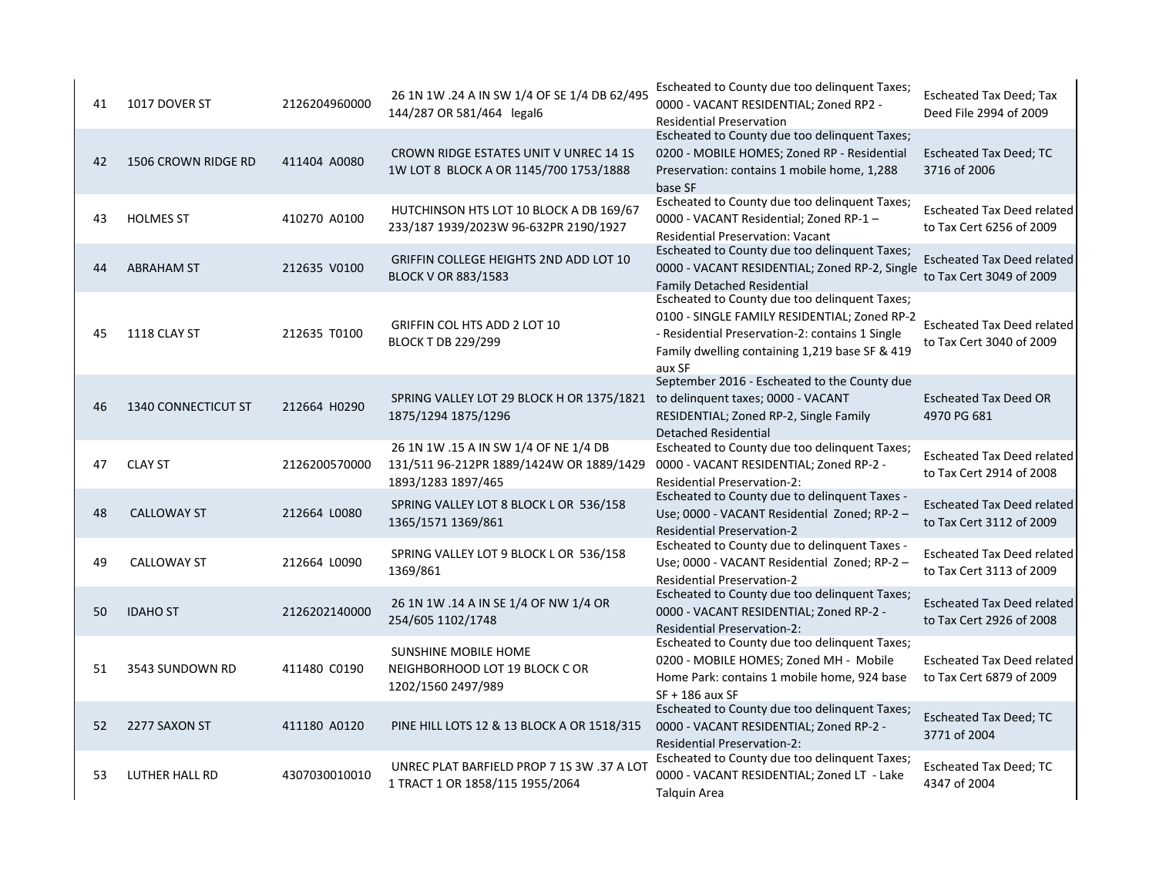| 41 | 1017 DOVER ST       | 2126204960000 | 26 1N 1W .24 A IN SW 1/4 OF SE 1/4 DB 62/495<br>144/287 OR 581/464 legal6                               | Escheated to County due too delinguent Taxes;<br>0000 - VACANT RESIDENTIAL; Zoned RP2 -<br><b>Residential Preservation</b>                                                                                   | <b>Escheated Tax Deed; Tax</b><br>Deed File 2994 of 2009      |
|----|---------------------|---------------|---------------------------------------------------------------------------------------------------------|--------------------------------------------------------------------------------------------------------------------------------------------------------------------------------------------------------------|---------------------------------------------------------------|
| 42 | 1506 CROWN RIDGE RD | 411404 A0080  | CROWN RIDGE ESTATES UNIT V UNREC 14 1S<br>1W LOT 8 BLOCK A OR 1145/700 1753/1888                        | Escheated to County due too delinguent Taxes;<br>0200 - MOBILE HOMES; Zoned RP - Residential<br>Preservation: contains 1 mobile home, 1,288<br>base SF                                                       | <b>Escheated Tax Deed; TC</b><br>3716 of 2006                 |
| 43 | <b>HOLMES ST</b>    | 410270 A0100  | HUTCHINSON HTS LOT 10 BLOCK A DB 169/67<br>233/187 1939/2023W 96-632PR 2190/1927                        | Escheated to County due too delinguent Taxes;<br>0000 - VACANT Residential; Zoned RP-1 -<br><b>Residential Preservation: Vacant</b>                                                                          | <b>Escheated Tax Deed related</b><br>to Tax Cert 6256 of 2009 |
| 44 | <b>ABRAHAM ST</b>   | 212635 V0100  | GRIFFIN COLLEGE HEIGHTS 2ND ADD LOT 10<br><b>BLOCK V OR 883/1583</b>                                    | Escheated to County due too delinquent Taxes;<br>0000 - VACANT RESIDENTIAL; Zoned RP-2, Single<br><b>Family Detached Residential</b>                                                                         | <b>Escheated Tax Deed related</b><br>to Tax Cert 3049 of 2009 |
| 45 | 1118 CLAY ST        | 212635 T0100  | <b>GRIFFIN COL HTS ADD 2 LOT 10</b><br><b>BLOCK T DB 229/299</b>                                        | Escheated to County due too delinquent Taxes;<br>0100 - SINGLE FAMILY RESIDENTIAL; Zoned RP-2<br>- Residential Preservation-2: contains 1 Single<br>Family dwelling containing 1,219 base SF & 419<br>aux SF | <b>Escheated Tax Deed related</b><br>to Tax Cert 3040 of 2009 |
| 46 | 1340 CONNECTICUT ST | 212664 H0290  | SPRING VALLEY LOT 29 BLOCK H OR 1375/1821<br>1875/1294 1875/1296                                        | September 2016 - Escheated to the County due<br>to delinquent taxes; 0000 - VACANT<br>RESIDENTIAL; Zoned RP-2, Single Family<br><b>Detached Residential</b>                                                  | <b>Escheated Tax Deed OR</b><br>4970 PG 681                   |
| 47 | <b>CLAY ST</b>      | 2126200570000 | 26 1N 1W .15 A IN SW 1/4 OF NE 1/4 DB<br>131/511 96-212PR 1889/1424W OR 1889/1429<br>1893/1283 1897/465 | Escheated to County due too delinguent Taxes;<br>0000 - VACANT RESIDENTIAL; Zoned RP-2 -<br><b>Residential Preservation-2:</b>                                                                               | <b>Escheated Tax Deed related</b><br>to Tax Cert 2914 of 2008 |
| 48 | <b>CALLOWAY ST</b>  | 212664 L0080  | SPRING VALLEY LOT 8 BLOCK L OR 536/158<br>1365/1571 1369/861                                            | Escheated to County due to delinguent Taxes -<br>Use; 0000 - VACANT Residential Zoned; RP-2 -<br><b>Residential Preservation-2</b>                                                                           | <b>Escheated Tax Deed related</b><br>to Tax Cert 3112 of 2009 |
| 49 | <b>CALLOWAY ST</b>  | 212664 L0090  | SPRING VALLEY LOT 9 BLOCK L OR 536/158<br>1369/861                                                      | Escheated to County due to delinquent Taxes -<br>Use; 0000 - VACANT Residential Zoned; RP-2 -<br><b>Residential Preservation-2</b>                                                                           | <b>Escheated Tax Deed related</b><br>to Tax Cert 3113 of 2009 |
| 50 | <b>IDAHO ST</b>     | 2126202140000 | 26 1N 1W .14 A IN SE 1/4 OF NW 1/4 OR<br>254/605 1102/1748                                              | Escheated to County due too delinquent Taxes;<br>0000 - VACANT RESIDENTIAL; Zoned RP-2 -<br><b>Residential Preservation-2:</b>                                                                               | <b>Escheated Tax Deed related</b><br>to Tax Cert 2926 of 2008 |
| 51 | 3543 SUNDOWN RD     | 411480 C0190  | SUNSHINE MOBILE HOME<br>NEIGHBORHOOD LOT 19 BLOCK C OR<br>1202/1560 2497/989                            | Escheated to County due too delinquent Taxes;<br>0200 - MOBILE HOMES; Zoned MH - Mobile<br>Home Park: contains 1 mobile home, 924 base<br>$SF + 186$ aux SF                                                  | Escheated Tax Deed related<br>to Tax Cert 6879 of 2009        |
| 52 | 2277 SAXON ST       | 411180 A0120  | PINE HILL LOTS 12 & 13 BLOCK A OR 1518/315                                                              | Escheated to County due too delinquent Taxes;<br>0000 - VACANT RESIDENTIAL; Zoned RP-2 -<br><b>Residential Preservation-2:</b>                                                                               | <b>Escheated Tax Deed; TC</b><br>3771 of 2004                 |
| 53 | LUTHER HALL RD      | 4307030010010 | UNREC PLAT BARFIELD PROP 7 1S 3W .37 A LOT<br>1 TRACT 1 OR 1858/115 1955/2064                           | Escheated to County due too delinquent Taxes;<br>0000 - VACANT RESIDENTIAL; Zoned LT - Lake<br><b>Talquin Area</b>                                                                                           | Escheated Tax Deed; TC<br>4347 of 2004                        |